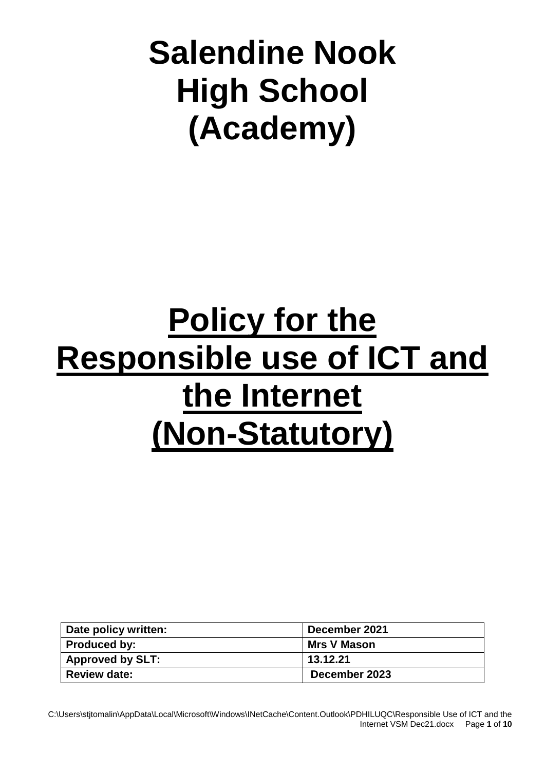# **Salendine Nook High School (Academy)**

# **Policy for the Responsible use of ICT and the Internet (Non-Statutory)**

| Date policy written: | December 2021      |
|----------------------|--------------------|
| Produced by:         | <b>Mrs V Mason</b> |
| Approved by SLT:     | 13.12.21           |
| <b>Review date:</b>  | December 2023      |

C:\Users\stjtomalin\AppData\Local\Microsoft\Windows\INetCache\Content.Outlook\PDHILUQC\Responsible Use of ICT and the Internet VSM Dec21.docx Page **1** of **10**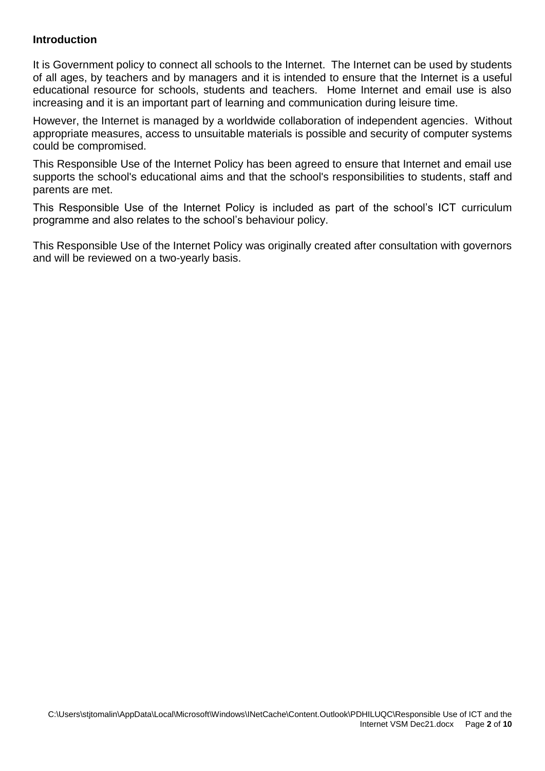#### **Introduction**

It is Government policy to connect all schools to the Internet. The Internet can be used by students of all ages, by teachers and by managers and it is intended to ensure that the Internet is a useful educational resource for schools, students and teachers. Home Internet and email use is also increasing and it is an important part of learning and communication during leisure time.

However, the Internet is managed by a worldwide collaboration of independent agencies. Without appropriate measures, access to unsuitable materials is possible and security of computer systems could be compromised.

This Responsible Use of the Internet Policy has been agreed to ensure that Internet and email use supports the school's educational aims and that the school's responsibilities to students, staff and parents are met.

This Responsible Use of the Internet Policy is included as part of the school's ICT curriculum programme and also relates to the school's behaviour policy.

This Responsible Use of the Internet Policy was originally created after consultation with governors and will be reviewed on a two-yearly basis.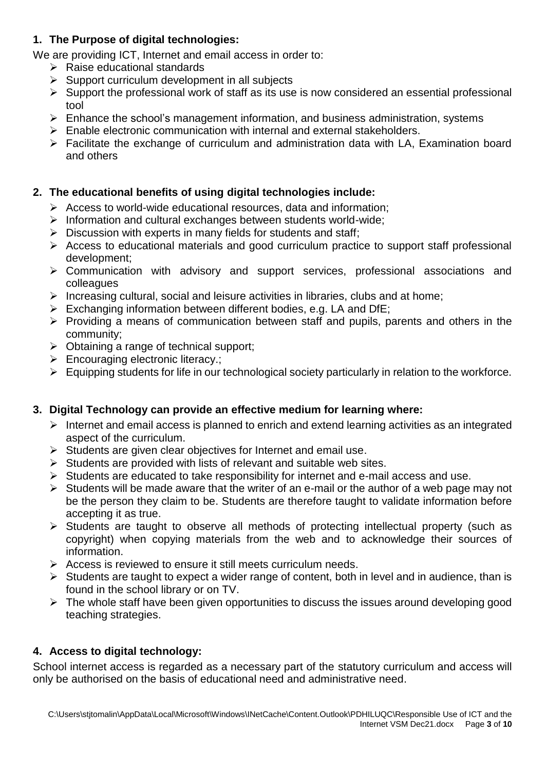## **1. The Purpose of digital technologies:**

We are providing ICT, Internet and email access in order to:

- ➢ Raise educational standards
- $\triangleright$  Support curriculum development in all subjects
- ➢ Support the professional work of staff as its use is now considered an essential professional tool
- ➢ Enhance the school's management information, and business administration, systems
- ➢ Enable electronic communication with internal and external stakeholders.
- ➢ Facilitate the exchange of curriculum and administration data with LA, Examination board and others

## **2. The educational benefits of using digital technologies include:**

- ➢ Access to world-wide educational resources, data and information;
- ➢ Information and cultural exchanges between students world-wide;
- $\triangleright$  Discussion with experts in many fields for students and staff;
- ➢ Access to educational materials and good curriculum practice to support staff professional development;
- ➢ Communication with advisory and support services, professional associations and colleagues
- ➢ Increasing cultural, social and leisure activities in libraries, clubs and at home;
- $\triangleright$  Exchanging information between different bodies, e.g. LA and DfE:
- ➢ Providing a means of communication between staff and pupils, parents and others in the community;
- $\triangleright$  Obtaining a range of technical support;
- ➢ Encouraging electronic literacy.;
- ➢ Equipping students for life in our technological society particularly in relation to the workforce.

## **3. Digital Technology can provide an effective medium for learning where:**

- ➢ Internet and email access is planned to enrich and extend learning activities as an integrated aspect of the curriculum.
- $\triangleright$  Students are given clear objectives for Internet and email use.
- $\triangleright$  Students are provided with lists of relevant and suitable web sites.
- ➢ Students are educated to take responsibility for internet and e-mail access and use.
- $\triangleright$  Students will be made aware that the writer of an e-mail or the author of a web page may not be the person they claim to be. Students are therefore taught to validate information before accepting it as true.
- ➢ Students are taught to observe all methods of protecting intellectual property (such as copyright) when copying materials from the web and to acknowledge their sources of information.
- $\triangleright$  Access is reviewed to ensure it still meets curriculum needs.
- $\triangleright$  Students are taught to expect a wider range of content, both in level and in audience, than is found in the school library or on TV.
- ➢ The whole staff have been given opportunities to discuss the issues around developing good teaching strategies.

## **4. Access to digital technology:**

School internet access is regarded as a necessary part of the statutory curriculum and access will only be authorised on the basis of educational need and administrative need.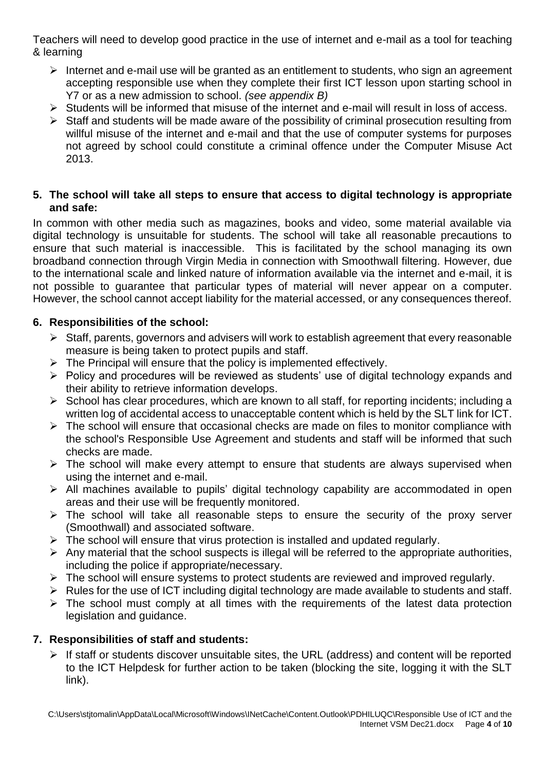Teachers will need to develop good practice in the use of internet and e-mail as a tool for teaching & learning

- ➢ Internet and e-mail use will be granted as an entitlement to students, who sign an agreement accepting responsible use when they complete their first ICT lesson upon starting school in Y7 or as a new admission to school. *(see appendix B)*
- ➢ Students will be informed that misuse of the internet and e-mail will result in loss of access.
- $\triangleright$  Staff and students will be made aware of the possibility of criminal prosecution resulting from willful misuse of the internet and e-mail and that the use of computer systems for purposes not agreed by school could constitute a criminal offence under the Computer Misuse Act 2013.

## **5. The school will take all steps to ensure that access to digital technology is appropriate and safe:**

In common with other media such as magazines, books and video, some material available via digital technology is unsuitable for students. The school will take all reasonable precautions to ensure that such material is inaccessible. This is facilitated by the school managing its own broadband connection through Virgin Media in connection with Smoothwall filtering. However, due to the international scale and linked nature of information available via the internet and e-mail, it is not possible to guarantee that particular types of material will never appear on a computer. However, the school cannot accept liability for the material accessed, or any consequences thereof.

## **6. Responsibilities of the school:**

- ➢ Staff, parents, governors and advisers will work to establish agreement that every reasonable measure is being taken to protect pupils and staff.
- $\triangleright$  The Principal will ensure that the policy is implemented effectively.
- ➢ Policy and procedures will be reviewed as students' use of digital technology expands and their ability to retrieve information develops.
- $\triangleright$  School has clear procedures, which are known to all staff, for reporting incidents; including a written log of accidental access to unacceptable content which is held by the SLT link for ICT.
- $\triangleright$  The school will ensure that occasional checks are made on files to monitor compliance with the school's Responsible Use Agreement and students and staff will be informed that such checks are made.
- $\triangleright$  The school will make every attempt to ensure that students are always supervised when using the internet and e-mail.
- ➢ All machines available to pupils' digital technology capability are accommodated in open areas and their use will be frequently monitored.
- $\triangleright$  The school will take all reasonable steps to ensure the security of the proxy server (Smoothwall) and associated software.
- $\triangleright$  The school will ensure that virus protection is installed and updated regularly.
- $\triangleright$  Any material that the school suspects is illegal will be referred to the appropriate authorities, including the police if appropriate/necessary.
- ➢ The school will ensure systems to protect students are reviewed and improved regularly.
- ➢ Rules for the use of ICT including digital technology are made available to students and staff.
- ➢ The school must comply at all times with the requirements of the latest data protection legislation and guidance.

## **7. Responsibilities of staff and students:**

➢ If staff or students discover unsuitable sites, the URL (address) and content will be reported to the ICT Helpdesk for further action to be taken (blocking the site, logging it with the SLT link).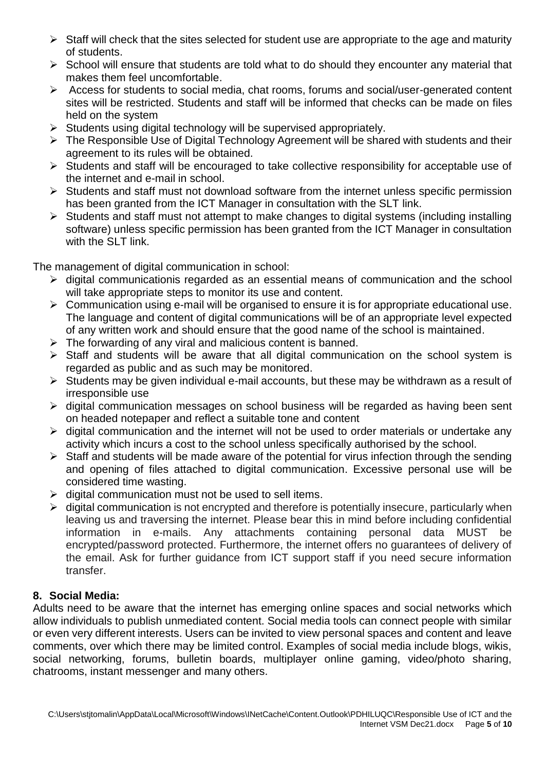- $\triangleright$  Staff will check that the sites selected for student use are appropriate to the age and maturity of students.
- ➢ School will ensure that students are told what to do should they encounter any material that makes them feel uncomfortable.
- ➢ Access for students to social media, chat rooms, forums and social/user-generated content sites will be restricted. Students and staff will be informed that checks can be made on files held on the system
- ➢ Students using digital technology will be supervised appropriately.
- ➢ The Responsible Use of Digital Technology Agreement will be shared with students and their agreement to its rules will be obtained.
- ➢ Students and staff will be encouraged to take collective responsibility for acceptable use of the internet and e-mail in school.
- ➢ Students and staff must not download software from the internet unless specific permission has been granted from the ICT Manager in consultation with the SLT link.
- ➢ Students and staff must not attempt to make changes to digital systems (including installing software) unless specific permission has been granted from the ICT Manager in consultation with the SLT link.

The management of digital communication in school:

- ➢ digital communicationis regarded as an essential means of communication and the school will take appropriate steps to monitor its use and content.
- $\triangleright$  Communication using e-mail will be organised to ensure it is for appropriate educational use. The language and content of digital communications will be of an appropriate level expected of any written work and should ensure that the good name of the school is maintained.
- $\triangleright$  The forwarding of any viral and malicious content is banned.
- ➢ Staff and students will be aware that all digital communication on the school system is regarded as public and as such may be monitored.
- ➢ Students may be given individual e-mail accounts, but these may be withdrawn as a result of irresponsible use
- ➢ digital communication messages on school business will be regarded as having been sent on headed notepaper and reflect a suitable tone and content
- $\triangleright$  digital communication and the internet will not be used to order materials or undertake any activity which incurs a cost to the school unless specifically authorised by the school.
- $\triangleright$  Staff and students will be made aware of the potential for virus infection through the sending and opening of files attached to digital communication. Excessive personal use will be considered time wasting.
- $\triangleright$  digital communication must not be used to sell items.
- $\triangleright$  digital communication is not encrypted and therefore is potentially insecure, particularly when leaving us and traversing the internet. Please bear this in mind before including confidential information in e-mails. Any attachments containing personal data MUST be encrypted/password protected. Furthermore, the internet offers no guarantees of delivery of the email. Ask for further guidance from ICT support staff if you need secure information transfer.

## **8. Social Media:**

Adults need to be aware that the internet has emerging online spaces and social networks which allow individuals to publish unmediated content. Social media tools can connect people with similar or even very different interests. Users can be invited to view personal spaces and content and leave comments, over which there may be limited control. Examples of social media include blogs, wikis, social networking, forums, bulletin boards, multiplayer online gaming, video/photo sharing, chatrooms, instant messenger and many others.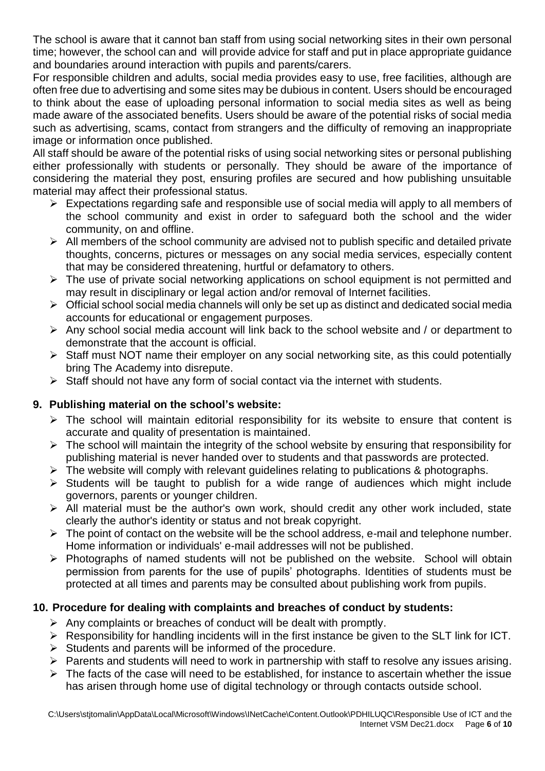The school is aware that it cannot ban staff from using social networking sites in their own personal time; however, the school can and will provide advice for staff and put in place appropriate guidance and boundaries around interaction with pupils and parents/carers.

For responsible children and adults, social media provides easy to use, free facilities, although are often free due to advertising and some sites may be dubious in content. Users should be encouraged to think about the ease of uploading personal information to social media sites as well as being made aware of the associated benefits. Users should be aware of the potential risks of social media such as advertising, scams, contact from strangers and the difficulty of removing an inappropriate image or information once published.

All staff should be aware of the potential risks of using social networking sites or personal publishing either professionally with students or personally. They should be aware of the importance of considering the material they post, ensuring profiles are secured and how publishing unsuitable material may affect their professional status.

- $\triangleright$  Expectations regarding safe and responsible use of social media will apply to all members of the school community and exist in order to safeguard both the school and the wider community, on and offline.
- $\triangleright$  All members of the school community are advised not to publish specific and detailed private thoughts, concerns, pictures or messages on any social media services, especially content that may be considered threatening, hurtful or defamatory to others.
- ➢ The use of private social networking applications on school equipment is not permitted and may result in disciplinary or legal action and/or removal of Internet facilities.
- $\triangleright$  Official school social media channels will only be set up as distinct and dedicated social media accounts for educational or engagement purposes.
- ➢ Any school social media account will link back to the school website and / or department to demonstrate that the account is official.
- ➢ Staff must NOT name their employer on any social networking site, as this could potentially bring The Academy into disrepute.
- ➢ Staff should not have any form of social contact via the internet with students.

# **9. Publishing material on the school's website:**

- $\triangleright$  The school will maintain editorial responsibility for its website to ensure that content is accurate and quality of presentation is maintained.
- ➢ The school will maintain the integrity of the school website by ensuring that responsibility for publishing material is never handed over to students and that passwords are protected.
- $\triangleright$  The website will comply with relevant guidelines relating to publications & photographs.
- ➢ Students will be taught to publish for a wide range of audiences which might include governors, parents or younger children.
- ➢ All material must be the author's own work, should credit any other work included, state clearly the author's identity or status and not break copyright.
- $\triangleright$  The point of contact on the website will be the school address, e-mail and telephone number. Home information or individuals' e-mail addresses will not be published.
- ➢ Photographs of named students will not be published on the website. School will obtain permission from parents for the use of pupils' photographs. Identities of students must be protected at all times and parents may be consulted about publishing work from pupils.

# **10. Procedure for dealing with complaints and breaches of conduct by students:**

- $\triangleright$  Any complaints or breaches of conduct will be dealt with promptly.
- ➢ Responsibility for handling incidents will in the first instance be given to the SLT link for ICT.
- ➢ Students and parents will be informed of the procedure.
- ➢ Parents and students will need to work in partnership with staff to resolve any issues arising.
- $\triangleright$  The facts of the case will need to be established, for instance to ascertain whether the issue has arisen through home use of digital technology or through contacts outside school.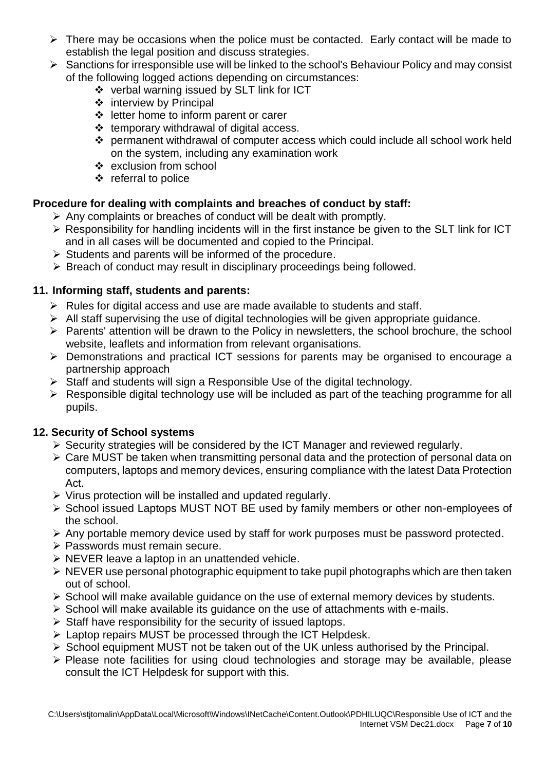- ➢ There may be occasions when the police must be contacted. Early contact will be made to establish the legal position and discuss strategies.
- ➢ Sanctions for irresponsible use will be linked to the school's Behaviour Policy and may consist of the following logged actions depending on circumstances:
	- ❖ verbal warning issued by SLT link for ICT
	- ❖ interview by Principal
	- ❖ letter home to inform parent or carer
	- ❖ temporary withdrawal of digital access.
	- ❖ permanent withdrawal of computer access which could include all school work held on the system, including any examination work
	- ❖ exclusion from school
	- ❖ referral to police

# **Procedure for dealing with complaints and breaches of conduct by staff:**

- ➢ Any complaints or breaches of conduct will be dealt with promptly.
- ➢ Responsibility for handling incidents will in the first instance be given to the SLT link for ICT and in all cases will be documented and copied to the Principal.
- ➢ Students and parents will be informed of the procedure.
- ➢ Breach of conduct may result in disciplinary proceedings being followed.

## **11. Informing staff, students and parents:**

- $\triangleright$  Rules for digital access and use are made available to students and staff.
- $\triangleright$  All staff supervising the use of digital technologies will be given appropriate guidance.
- ➢ Parents' attention will be drawn to the Policy in newsletters, the school brochure, the school website, leaflets and information from relevant organisations.
- ➢ Demonstrations and practical ICT sessions for parents may be organised to encourage a partnership approach
- ➢ Staff and students will sign a Responsible Use of the digital technology.
- $\triangleright$  Responsible digital technology use will be included as part of the teaching programme for all pupils.

## **12. Security of School systems**

- ➢ Security strategies will be considered by the ICT Manager and reviewed regularly.
- ➢ Care MUST be taken when transmitting personal data and the protection of personal data on computers, laptops and memory devices, ensuring compliance with the latest Data Protection Act.
- ➢ Virus protection will be installed and updated regularly.
- ➢ School issued Laptops MUST NOT BE used by family members or other non-employees of the school.
- ➢ Any portable memory device used by staff for work purposes must be password protected.
- ➢ Passwords must remain secure.
- ➢ NEVER leave a laptop in an unattended vehicle.
- ➢ NEVER use personal photographic equipment to take pupil photographs which are then taken out of school.
- ➢ School will make available guidance on the use of external memory devices by students.
- ➢ School will make available its guidance on the use of attachments with e-mails.
- $\triangleright$  Staff have responsibility for the security of issued laptops.
- ➢ Laptop repairs MUST be processed through the ICT Helpdesk.
- ➢ School equipment MUST not be taken out of the UK unless authorised by the Principal.
- ➢ Please note facilities for using cloud technologies and storage may be available, please consult the ICT Helpdesk for support with this.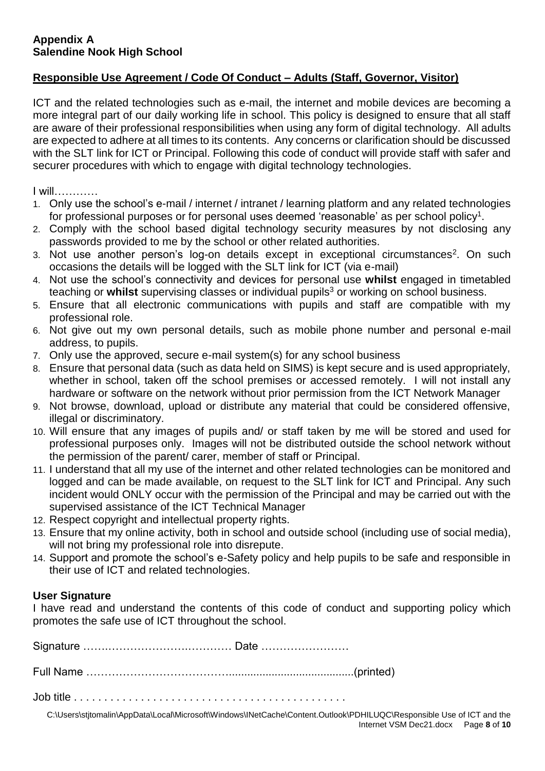#### **Appendix A Salendine Nook High School**

## **Responsible Use Agreement / Code Of Conduct – Adults (Staff, Governor, Visitor)**

ICT and the related technologies such as e-mail, the internet and mobile devices are becoming a more integral part of our daily working life in school. This policy is designed to ensure that all staff are aware of their professional responsibilities when using any form of digital technology. All adults are expected to adhere at all times to its contents. Any concerns or clarification should be discussed with the SLT link for ICT or Principal. Following this code of conduct will provide staff with safer and securer procedures with which to engage with digital technology technologies.

I will…………

- 1. Only use the school's e-mail / internet / intranet / learning platform and any related technologies for professional purposes or for personal uses deemed 'reasonable' as per school policy<sup>1</sup>.
- 2. Comply with the school based digital technology security measures by not disclosing any passwords provided to me by the school or other related authorities.
- 3. Not use another person's log-on details except in exceptional circumstances<sup>2</sup>. On such occasions the details will be logged with the SLT link for ICT (via e-mail)
- 4. Not use the school's connectivity and devices for personal use **whilst** engaged in timetabled teaching or whilst supervising classes or individual pupils<sup>3</sup> or working on school business.
- 5. Ensure that all electronic communications with pupils and staff are compatible with my professional role.
- 6. Not give out my own personal details, such as mobile phone number and personal e-mail address, to pupils.
- 7. Only use the approved, secure e-mail system(s) for any school business
- 8. Ensure that personal data (such as data held on SIMS) is kept secure and is used appropriately, whether in school, taken off the school premises or accessed remotely. I will not install any hardware or software on the network without prior permission from the ICT Network Manager
- 9. Not browse, download, upload or distribute any material that could be considered offensive, illegal or discriminatory.
- 10. Will ensure that any images of pupils and/ or staff taken by me will be stored and used for professional purposes only. Images will not be distributed outside the school network without the permission of the parent/ carer, member of staff or Principal.
- 11. I understand that all my use of the internet and other related technologies can be monitored and logged and can be made available, on request to the SLT link for ICT and Principal. Any such incident would ONLY occur with the permission of the Principal and may be carried out with the supervised assistance of the ICT Technical Manager
- 12. Respect copyright and intellectual property rights.
- 13. Ensure that my online activity, both in school and outside school (including use of social media), will not bring my professional role into disrepute.
- 14. Support and promote the school's e-Safety policy and help pupils to be safe and responsible in their use of ICT and related technologies.

#### **User Signature**

I have read and understand the contents of this code of conduct and supporting policy which promotes the safe use of ICT throughout the school.

Signature …….………………….………… Date ……………………

Full Name ………………………………….........................................(printed)

Job title . . . . . . . . . . . . . . . . . . . . . . . . . . . . . . . . . . . . . . . . . . . . .

C:\Users\stjtomalin\AppData\Local\Microsoft\Windows\INetCache\Content.Outlook\PDHILUQC\Responsible Use of ICT and the Internet VSM Dec21.docx Page **8** of **10**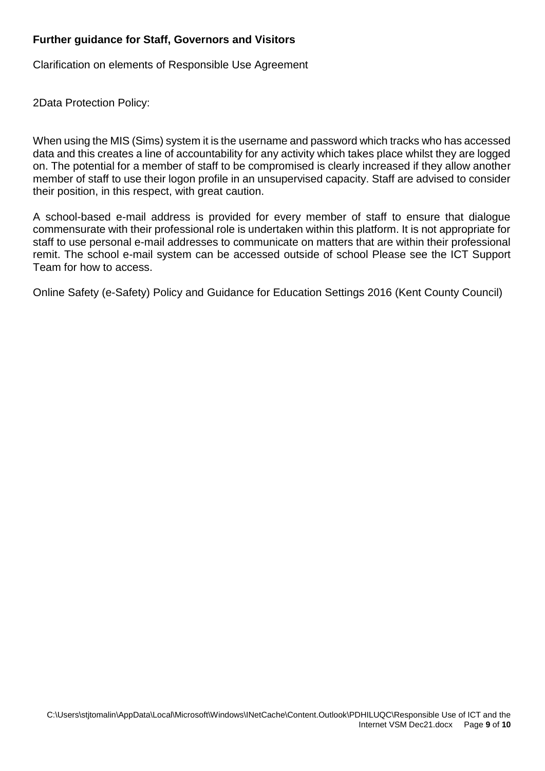## **Further guidance for Staff, Governors and Visitors**

Clarification on elements of Responsible Use Agreement

2Data Protection Policy:

When using the MIS (Sims) system it is the username and password which tracks who has accessed data and this creates a line of accountability for any activity which takes place whilst they are logged on. The potential for a member of staff to be compromised is clearly increased if they allow another member of staff to use their logon profile in an unsupervised capacity. Staff are advised to consider their position, in this respect, with great caution.

A school-based e-mail address is provided for every member of staff to ensure that dialogue commensurate with their professional role is undertaken within this platform. It is not appropriate for staff to use personal e-mail addresses to communicate on matters that are within their professional remit. The school e-mail system can be accessed outside of school Please see the ICT Support Team for how to access.

Online Safety (e-Safety) Policy and Guidance for Education Settings 2016 (Kent County Council)